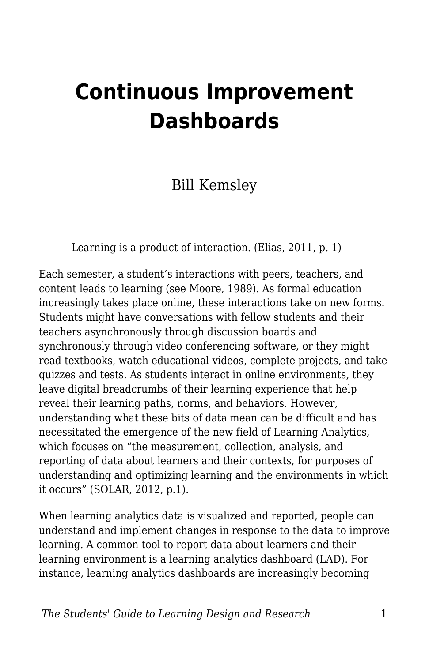# **Continuous Improvement Dashboards**

### Bill Kemsley

Learning is a product of interaction. (Elias, 2011, p. 1)

Each semester, a student's interactions with peers, teachers, and content leads to learning (see Moore, 1989). As formal education increasingly takes place online, these interactions take on new forms. Students might have conversations with fellow students and their teachers asynchronously through discussion boards and synchronously through video conferencing software, or they might read textbooks, watch educational videos, complete projects, and take quizzes and tests. As students interact in online environments, they leave digital breadcrumbs of their learning experience that help reveal their learning paths, norms, and behaviors. However, understanding what these bits of data mean can be difficult and has necessitated the emergence of the new field of Learning Analytics, which focuses on "the measurement, collection, analysis, and reporting of data about learners and their contexts, for purposes of understanding and optimizing learning and the environments in which it occurs" (SOLAR, 2012, p.1).

When learning analytics data is visualized and reported, people can understand and implement changes in response to the data to improve learning. A common tool to report data about learners and their learning environment is a learning analytics dashboard (LAD). For instance, learning analytics dashboards are increasingly becoming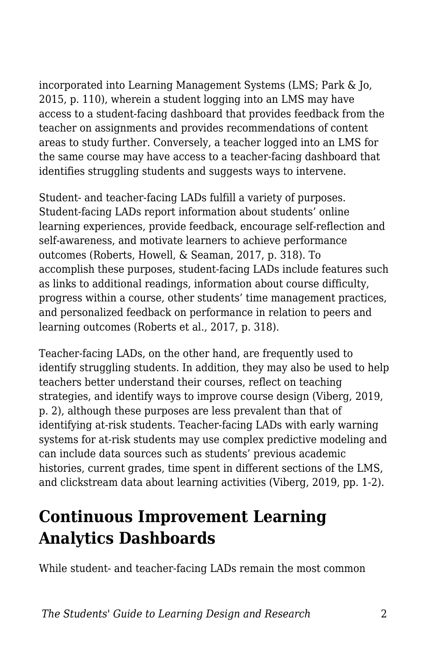incorporated into Learning Management Systems (LMS; Park & Jo, 2015, p. 110), wherein a student logging into an LMS may have access to a student-facing dashboard that provides feedback from the teacher on assignments and provides recommendations of content areas to study further. Conversely, a teacher logged into an LMS for the same course may have access to a teacher-facing dashboard that identifies struggling students and suggests ways to intervene.

Student- and teacher-facing LADs fulfill a variety of purposes. Student-facing LADs report information about students' online learning experiences, provide feedback, encourage self-reflection and self-awareness, and motivate learners to achieve performance outcomes (Roberts, Howell, & Seaman, 2017, p. 318). To accomplish these purposes, student-facing LADs include features such as links to additional readings, information about course difficulty, progress within a course, other students' time management practices, and personalized feedback on performance in relation to peers and learning outcomes (Roberts et al., 2017, p. 318).

Teacher-facing LADs, on the other hand, are frequently used to identify struggling students. In addition, they may also be used to help teachers better understand their courses, reflect on teaching strategies, and identify ways to improve course design (Viberg, 2019, p. 2), although these purposes are less prevalent than that of identifying at-risk students. Teacher-facing LADs with early warning systems for at-risk students may use complex predictive modeling and can include data sources such as students' previous academic histories, current grades, time spent in different sections of the LMS, and clickstream data about learning activities (Viberg, 2019, pp. 1-2).

### **Continuous Improvement Learning Analytics Dashboards**

While student- and teacher-facing LADs remain the most common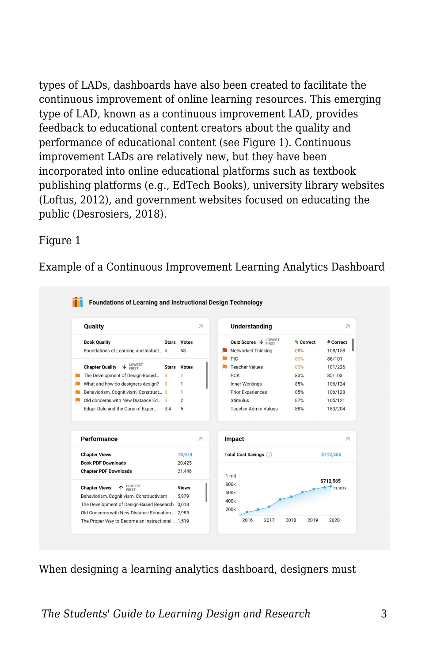types of LADs, dashboards have also been created to facilitate the continuous improvement of online learning resources. This emerging type of LAD, known as a continuous improvement LAD, provides feedback to educational content creators about the quality and performance of educational content (see Figure 1). Continuous improvement LADs are relatively new, but they have been incorporated into online educational platforms such as textbook publishing platforms (e.g., EdTech Books), university library websites (Loftus, 2012), and government websites focused on educating the public (Desrosiers, 2018).

#### Figure 1

Example of a Continuous Improvement Learning Analytics Dashboard



When designing a learning analytics dashboard, designers must

*The Students' Guide to Learning Design and Research* 3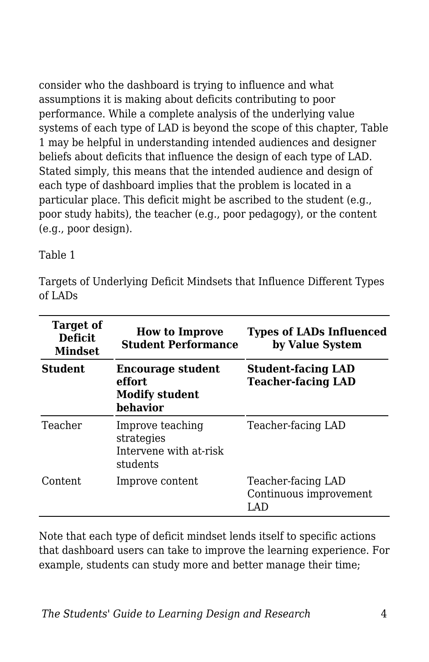consider who the dashboard is trying to influence and what assumptions it is making about deficits contributing to poor performance. While a complete analysis of the underlying value systems of each type of LAD is beyond the scope of this chapter, Table 1 may be helpful in understanding intended audiences and designer beliefs about deficits that influence the design of each type of LAD. Stated simply, this means that the intended audience and design of each type of dashboard implies that the problem is located in a particular place. This deficit might be ascribed to the student (e.g., poor study habits), the teacher (e.g., poor pedagogy), or the content (e.g., poor design).

Table 1

Targets of Underlying Deficit Mindsets that Influence Different Types of LADs

| <b>Target of</b><br><b>Deficit</b><br><b>Mindset</b> | <b>How to Improve</b><br><b>Student Performance</b>                     | <b>Types of LADs Influenced</b><br>by Value System     |  |
|------------------------------------------------------|-------------------------------------------------------------------------|--------------------------------------------------------|--|
| <b>Student</b>                                       | <b>Encourage student</b><br>effort<br><b>Modify student</b><br>behavior | <b>Student-facing LAD</b><br><b>Teacher-facing LAD</b> |  |
| Teacher                                              | Improve teaching<br>strategies<br>Intervene with at-risk<br>students    | Teacher-facing LAD                                     |  |
| Content                                              | Improve content                                                         | Teacher-facing LAD<br>Continuous improvement<br>LAD    |  |

Note that each type of deficit mindset lends itself to specific actions that dashboard users can take to improve the learning experience. For example, students can study more and better manage their time;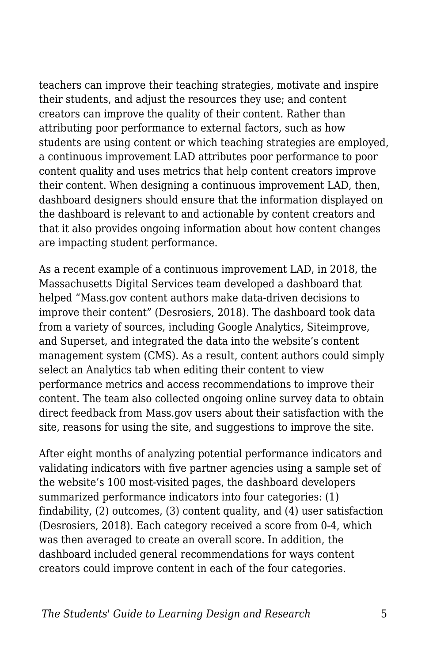teachers can improve their teaching strategies, motivate and inspire their students, and adjust the resources they use; and content creators can improve the quality of their content. Rather than attributing poor performance to external factors, such as how students are using content or which teaching strategies are employed, a continuous improvement LAD attributes poor performance to poor content quality and uses metrics that help content creators improve their content. When designing a continuous improvement LAD, then, dashboard designers should ensure that the information displayed on the dashboard is relevant to and actionable by content creators and that it also provides ongoing information about how content changes are impacting student performance.

As a recent example of a continuous improvement LAD, in 2018, the Massachusetts Digital Services team developed a dashboard that helped "Mass.gov content authors make data-driven decisions to improve their content" (Desrosiers, 2018). The dashboard took data from a variety of sources, including Google Analytics, Siteimprove, and Superset, and integrated the data into the website's content management system (CMS). As a result, content authors could simply select an Analytics tab when editing their content to view performance metrics and access recommendations to improve their content. The team also collected ongoing online survey data to obtain direct feedback from Mass.gov users about their satisfaction with the site, reasons for using the site, and suggestions to improve the site.

After eight months of analyzing potential performance indicators and validating indicators with five partner agencies using a sample set of the website's 100 most-visited pages, the dashboard developers summarized performance indicators into four categories: (1) findability, (2) outcomes, (3) content quality, and (4) user satisfaction (Desrosiers, 2018). Each category received a score from 0-4, which was then averaged to create an overall score. In addition, the dashboard included general recommendations for ways content creators could improve content in each of the four categories.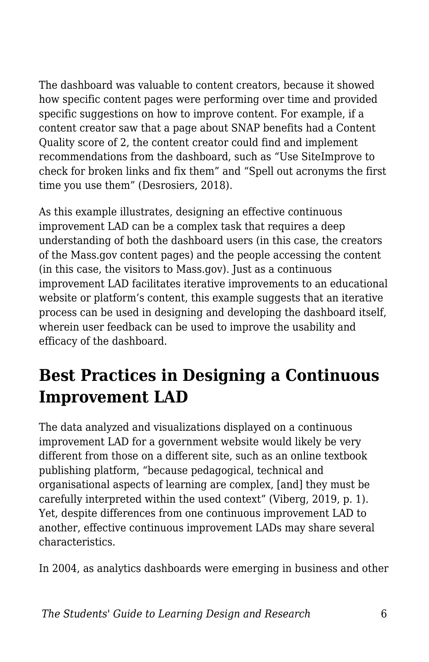The dashboard was valuable to content creators, because it showed how specific content pages were performing over time and provided specific suggestions on how to improve content. For example, if a content creator saw that a page about SNAP benefits had a Content Quality score of 2, the content creator could find and implement recommendations from the dashboard, such as "Use SiteImprove to check for broken links and fix them" and "Spell out acronyms the first time you use them" (Desrosiers, 2018).

As this example illustrates, designing an effective continuous improvement LAD can be a complex task that requires a deep understanding of both the dashboard users (in this case, the creators of the Mass.gov content pages) and the people accessing the content (in this case, the visitors to Mass.gov). Just as a continuous improvement LAD facilitates iterative improvements to an educational website or platform's content, this example suggests that an iterative process can be used in designing and developing the dashboard itself, wherein user feedback can be used to improve the usability and efficacy of the dashboard.

# **Best Practices in Designing a Continuous Improvement LAD**

The data analyzed and visualizations displayed on a continuous improvement LAD for a government website would likely be very different from those on a different site, such as an online textbook publishing platform, "because pedagogical, technical and organisational aspects of learning are complex, [and] they must be carefully interpreted within the used context" (Viberg, 2019, p. 1). Yet, despite differences from one continuous improvement LAD to another, effective continuous improvement LADs may share several characteristics.

In 2004, as analytics dashboards were emerging in business and other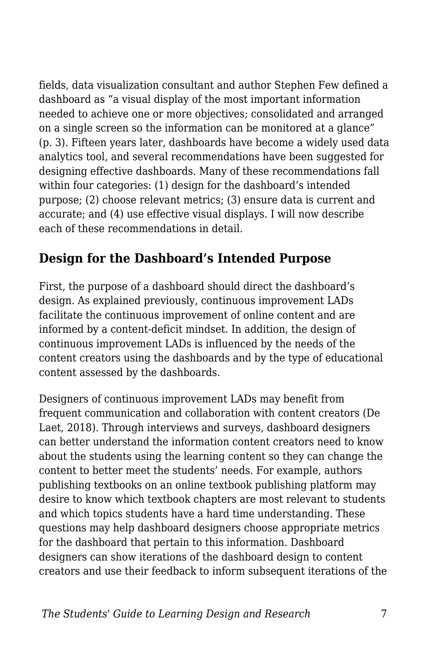fields, data visualization consultant and author Stephen Few defined a dashboard as "a visual display of the most important information needed to achieve one or more objectives; consolidated and arranged on a single screen so the information can be monitored at a glance" (p. 3). Fifteen years later, dashboards have become a widely used data analytics tool, and several recommendations have been suggested for designing effective dashboards. Many of these recommendations fall within four categories: (1) design for the dashboard's intended purpose; (2) choose relevant metrics; (3) ensure data is current and accurate; and (4) use effective visual displays. I will now describe each of these recommendations in detail.

#### **Design for the Dashboard's Intended Purpose**

First, the purpose of a dashboard should direct the dashboard's design. As explained previously, continuous improvement LADs facilitate the continuous improvement of online content and are informed by a content-deficit mindset. In addition, the design of continuous improvement LADs is influenced by the needs of the content creators using the dashboards and by the type of educational content assessed by the dashboards.

Designers of continuous improvement LADs may benefit from frequent communication and collaboration with content creators (De Laet, 2018). Through interviews and surveys, dashboard designers can better understand the information content creators need to know about the students using the learning content so they can change the content to better meet the students' needs. For example, authors publishing textbooks on an online textbook publishing platform may desire to know which textbook chapters are most relevant to students and which topics students have a hard time understanding. These questions may help dashboard designers choose appropriate metrics for the dashboard that pertain to this information. Dashboard designers can show iterations of the dashboard design to content creators and use their feedback to inform subsequent iterations of the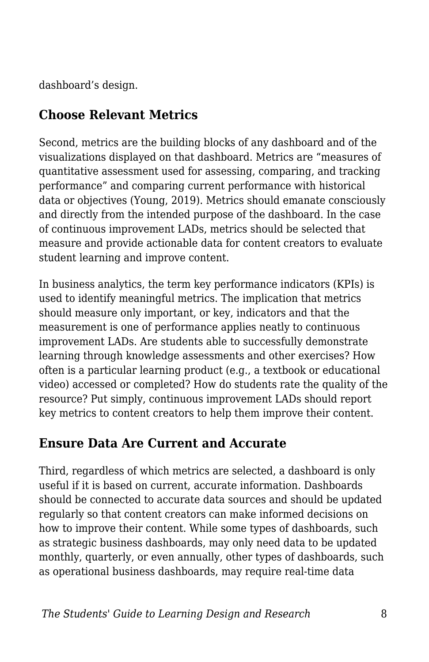dashboard's design.

#### **Choose Relevant Metrics**

Second, metrics are the building blocks of any dashboard and of the visualizations displayed on that dashboard. Metrics are "measures of quantitative assessment used for assessing, comparing, and tracking performance" and comparing current performance with historical data or objectives (Young, 2019). Metrics should emanate consciously and directly from the intended purpose of the dashboard. In the case of continuous improvement LADs, metrics should be selected that measure and provide actionable data for content creators to evaluate student learning and improve content.

In business analytics, the term key performance indicators (KPIs) is used to identify meaningful metrics. The implication that metrics should measure only important, or key, indicators and that the measurement is one of performance applies neatly to continuous improvement LADs. Are students able to successfully demonstrate learning through knowledge assessments and other exercises? How often is a particular learning product (e.g., a textbook or educational video) accessed or completed? How do students rate the quality of the resource? Put simply, continuous improvement LADs should report key metrics to content creators to help them improve their content.

#### **Ensure Data Are Current and Accurate**

Third, regardless of which metrics are selected, a dashboard is only useful if it is based on current, accurate information. Dashboards should be connected to accurate data sources and should be updated regularly so that content creators can make informed decisions on how to improve their content. While some types of dashboards, such as strategic business dashboards, may only need data to be updated monthly, quarterly, or even annually, other types of dashboards, such as operational business dashboards, may require real-time data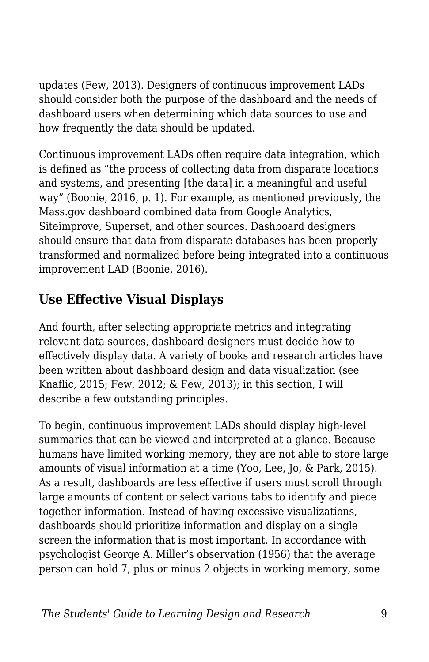updates (Few, 2013). Designers of continuous improvement LADs should consider both the purpose of the dashboard and the needs of dashboard users when determining which data sources to use and how frequently the data should be updated.

Continuous improvement LADs often require data integration, which is defined as "the process of collecting data from disparate locations and systems, and presenting [the data] in a meaningful and useful way" (Boonie, 2016, p. 1). For example, as mentioned previously, the Mass.gov dashboard combined data from Google Analytics, Siteimprove, Superset, and other sources. Dashboard designers should ensure that data from disparate databases has been properly transformed and normalized before being integrated into a continuous improvement LAD (Boonie, 2016).

### **Use Effective Visual Displays**

And fourth, after selecting appropriate metrics and integrating relevant data sources, dashboard designers must decide how to effectively display data. A variety of books and research articles have been written about dashboard design and data visualization (see Knaflic, 2015; Few, 2012; & Few, 2013); in this section, I will describe a few outstanding principles.

To begin, continuous improvement LADs should display high-level summaries that can be viewed and interpreted at a glance. Because humans have limited working memory, they are not able to store large amounts of visual information at a time (Yoo, Lee, Jo, & Park, 2015). As a result, dashboards are less effective if users must scroll through large amounts of content or select various tabs to identify and piece together information. Instead of having excessive visualizations, dashboards should prioritize information and display on a single screen the information that is most important. In accordance with psychologist George A. Miller's observation (1956) that the average person can hold 7, plus or minus 2 objects in working memory, some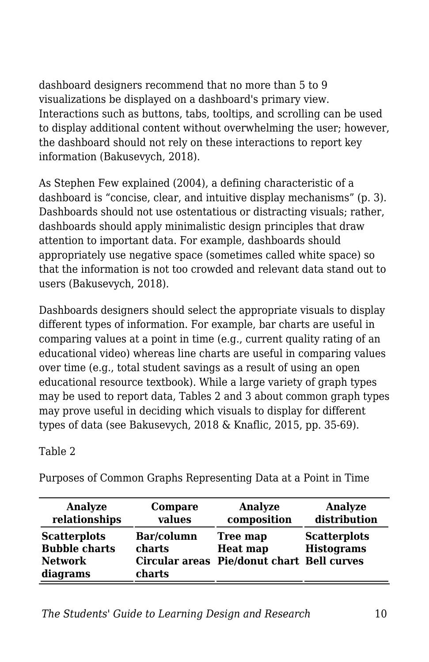dashboard designers recommend that no more than 5 to 9 visualizations be displayed on a dashboard's primary view. Interactions such as buttons, tabs, tooltips, and scrolling can be used to display additional content without overwhelming the user; however, the dashboard should not rely on these interactions to report key information (Bakusevych, 2018).

As Stephen Few explained (2004), a defining characteristic of a dashboard is "concise, clear, and intuitive display mechanisms" (p. 3). Dashboards should not use ostentatious or distracting visuals; rather, dashboards should apply minimalistic design principles that draw attention to important data. For example, dashboards should appropriately use negative space (sometimes called white space) so that the information is not too crowded and relevant data stand out to users (Bakusevych, 2018).

Dashboards designers should select the appropriate visuals to display different types of information. For example, bar charts are useful in comparing values at a point in time (e.g., current quality rating of an educational video) whereas line charts are useful in comparing values over time (e.g., total student savings as a result of using an open educational resource textbook). While a large variety of graph types may be used to report data, Tables 2 and 3 about common graph types may prove useful in deciding which visuals to display for different types of data (see Bakusevych, 2018 & Knaflic, 2015, pp. 35-69).

Table 2

| Analyze                                                                   | Compare                        | Analyze                                                                   | Analyze                                  |
|---------------------------------------------------------------------------|--------------------------------|---------------------------------------------------------------------------|------------------------------------------|
| relationships                                                             | values                         | composition                                                               | distribution                             |
| <b>Scatterplots</b><br><b>Bubble charts</b><br><b>Network</b><br>diagrams | Bar/column<br>charts<br>charts | Tree map<br><b>Heat map</b><br>Circular areas Pie/donut chart Bell curves | <b>Scatterplots</b><br><b>Histograms</b> |

Purposes of Common Graphs Representing Data at a Point in Time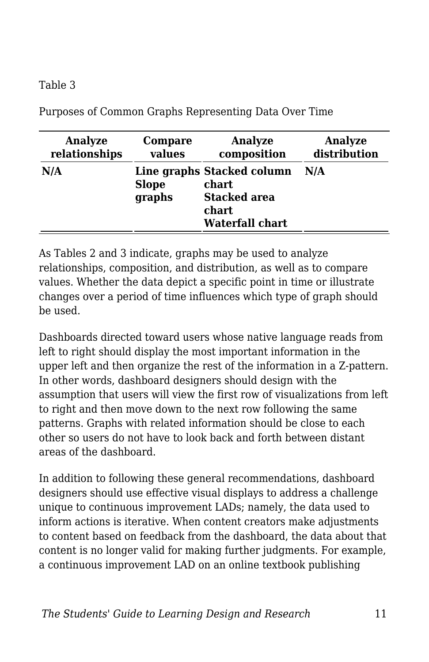#### Table 3

| Analyze       | Compare                | Analyze                                                                                | Analyze      |
|---------------|------------------------|----------------------------------------------------------------------------------------|--------------|
| relationships | values                 | composition                                                                            | distribution |
| N/A           | <b>Slope</b><br>graphs | Line graphs Stacked column<br>chart<br><b>Stacked area</b><br>chart<br>Waterfall chart | N/A          |

Purposes of Common Graphs Representing Data Over Time

As Tables 2 and 3 indicate, graphs may be used to analyze relationships, composition, and distribution, as well as to compare values. Whether the data depict a specific point in time or illustrate changes over a period of time influences which type of graph should be used.

Dashboards directed toward users whose native language reads from left to right should display the most important information in the upper left and then organize the rest of the information in a Z-pattern. In other words, dashboard designers should design with the assumption that users will view the first row of visualizations from left to right and then move down to the next row following the same patterns. Graphs with related information should be close to each other so users do not have to look back and forth between distant areas of the dashboard.

In addition to following these general recommendations, dashboard designers should use effective visual displays to address a challenge unique to continuous improvement LADs; namely, the data used to inform actions is iterative. When content creators make adjustments to content based on feedback from the dashboard, the data about that content is no longer valid for making further judgments. For example, a continuous improvement LAD on an online textbook publishing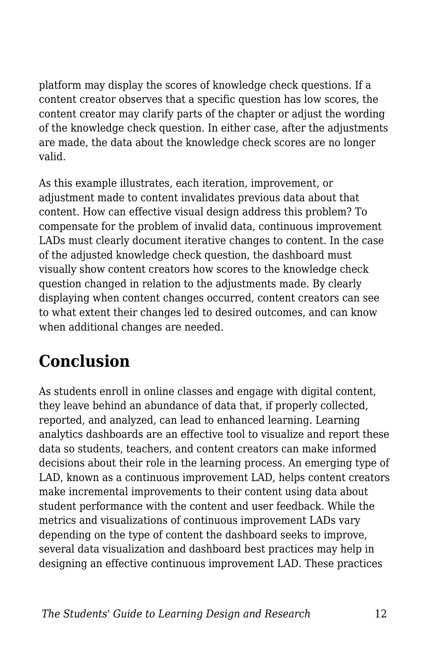platform may display the scores of knowledge check questions. If a content creator observes that a specific question has low scores, the content creator may clarify parts of the chapter or adjust the wording of the knowledge check question. In either case, after the adjustments are made, the data about the knowledge check scores are no longer valid.

As this example illustrates, each iteration, improvement, or adjustment made to content invalidates previous data about that content. How can effective visual design address this problem? To compensate for the problem of invalid data, continuous improvement LADs must clearly document iterative changes to content. In the case of the adjusted knowledge check question, the dashboard must visually show content creators how scores to the knowledge check question changed in relation to the adjustments made. By clearly displaying when content changes occurred, content creators can see to what extent their changes led to desired outcomes, and can know when additional changes are needed.

# **Conclusion**

As students enroll in online classes and engage with digital content, they leave behind an abundance of data that, if properly collected, reported, and analyzed, can lead to enhanced learning. Learning analytics dashboards are an effective tool to visualize and report these data so students, teachers, and content creators can make informed decisions about their role in the learning process. An emerging type of LAD, known as a continuous improvement LAD, helps content creators make incremental improvements to their content using data about student performance with the content and user feedback. While the metrics and visualizations of continuous improvement LADs vary depending on the type of content the dashboard seeks to improve, several data visualization and dashboard best practices may help in designing an effective continuous improvement LAD. These practices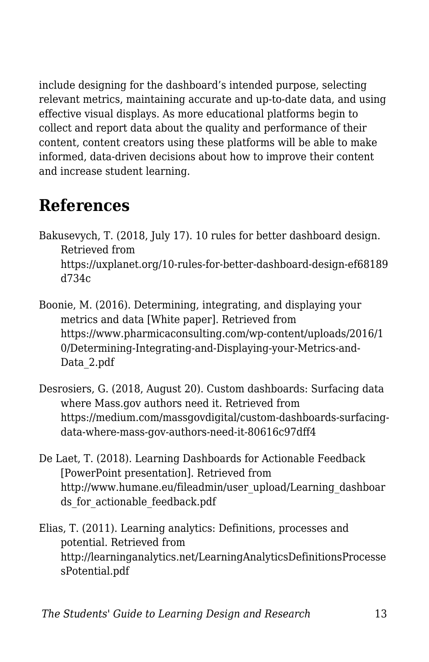include designing for the dashboard's intended purpose, selecting relevant metrics, maintaining accurate and up-to-date data, and using effective visual displays. As more educational platforms begin to collect and report data about the quality and performance of their content, content creators using these platforms will be able to make informed, data-driven decisions about how to improve their content and increase student learning.

### **References**

- Bakusevych, T. (2018, July 17). 10 rules for better dashboard design. Retrieved from https://uxplanet.org/10-rules-for-better-dashboard-design-ef68189 d734c
- Boonie, M. (2016). Determining, integrating, and displaying your metrics and data [White paper]. Retrieved from https://www.pharmicaconsulting.com/wp-content/uploads/2016/1 0/Determining-Integrating-and-Displaying-your-Metrics-and-Data\_2.pdf
- Desrosiers, G. (2018, August 20). Custom dashboards: Surfacing data where Mass.gov authors need it. Retrieved from https://medium.com/massgovdigital/custom-dashboards-surfacingdata-where-mass-gov-authors-need-it-80616c97dff4
- De Laet, T. (2018). Learning Dashboards for Actionable Feedback [PowerPoint presentation]. Retrieved from http://www.humane.eu/fileadmin/user\_upload/Learning\_dashboar ds for actionable feedback.pdf
- Elias, T. (2011). Learning analytics: Definitions, processes and potential. Retrieved from http://learninganalytics.net/LearningAnalyticsDefinitionsProcesse sPotential.pdf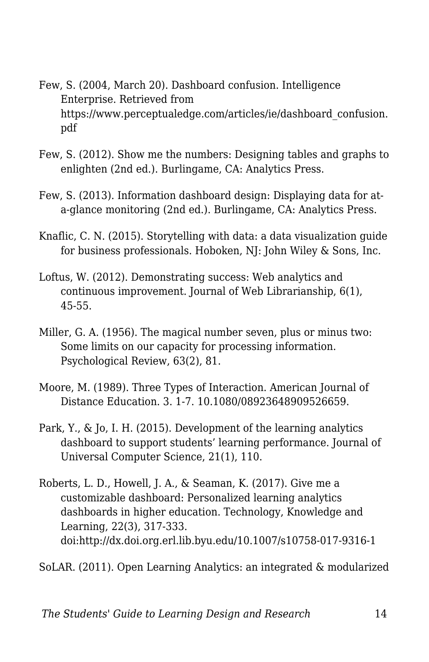- Few, S. (2004, March 20). Dashboard confusion. Intelligence Enterprise. Retrieved from https://www.perceptualedge.com/articles/ie/dashboard\_confusion. pdf
- Few, S. (2012). Show me the numbers: Designing tables and graphs to enlighten (2nd ed.). Burlingame, CA: Analytics Press.
- Few, S. (2013). Information dashboard design: Displaying data for ata-glance monitoring (2nd ed.). Burlingame, CA: Analytics Press.
- Knaflic, C. N. (2015). Storytelling with data: a data visualization guide for business professionals. Hoboken, NJ: John Wiley & Sons, Inc.
- Loftus, W. (2012). Demonstrating success: Web analytics and continuous improvement. Journal of Web Librarianship, 6(1), 45-55.
- Miller, G. A. (1956). The magical number seven, plus or minus two: Some limits on our capacity for processing information. Psychological Review, 63(2), 81.
- Moore, M. (1989). Three Types of Interaction. American Journal of Distance Education. 3. 1-7. 10.1080/08923648909526659.
- Park, Y., & Jo, I. H. (2015). Development of the learning analytics dashboard to support students' learning performance. Journal of Universal Computer Science, 21(1), 110.
- Roberts, L. D., Howell, J. A., & Seaman, K. (2017). Give me a customizable dashboard: Personalized learning analytics dashboards in higher education. Technology, Knowledge and Learning, 22(3), 317-333. doi:http://dx.doi.org.erl.lib.byu.edu/10.1007/s10758-017-9316-1

SoLAR. (2011). Open Learning Analytics: an integrated & modularized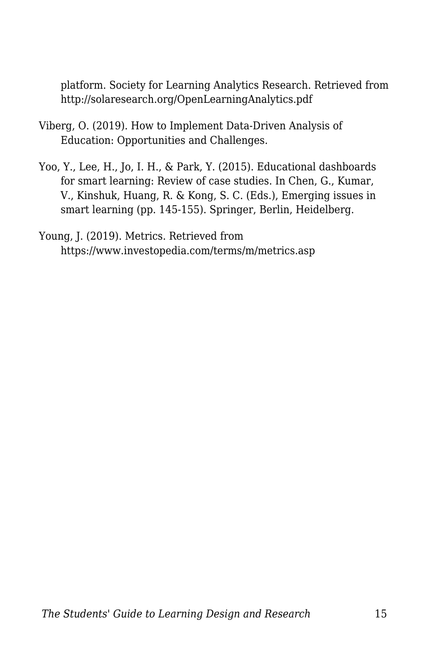platform. Society for Learning Analytics Research. Retrieved from http://solaresearch.org/OpenLearningAnalytics.pdf

- Viberg, O. (2019). How to Implement Data-Driven Analysis of Education: Opportunities and Challenges.
- Yoo, Y., Lee, H., Jo, I. H., & Park, Y. (2015). Educational dashboards for smart learning: Review of case studies. In Chen, G., Kumar, V., Kinshuk, Huang, R. & Kong, S. C. (Eds.), Emerging issues in smart learning (pp. 145-155). Springer, Berlin, Heidelberg.

Young, J. (2019). Metrics. Retrieved from https://www.investopedia.com/terms/m/metrics.asp